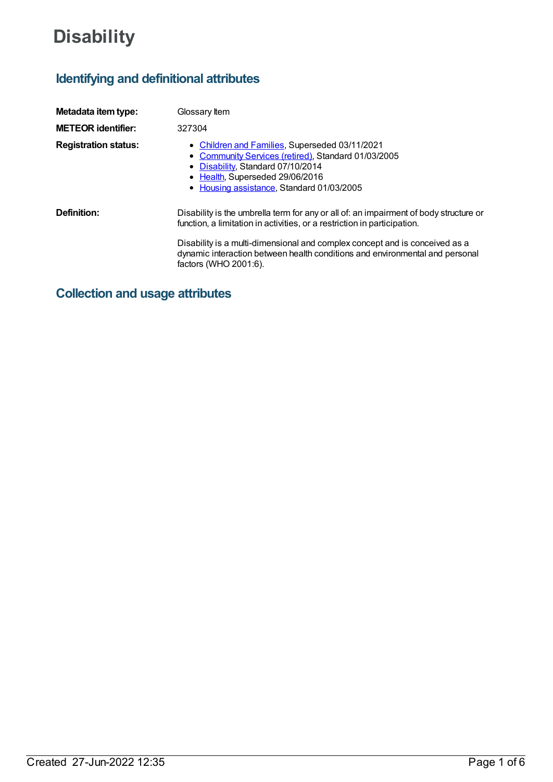# **Disability**

## **Identifying and definitional attributes**

| Metadata item type:         | Glossary Item                                                                                                                                                                                                                                                                                                                                             |
|-----------------------------|-----------------------------------------------------------------------------------------------------------------------------------------------------------------------------------------------------------------------------------------------------------------------------------------------------------------------------------------------------------|
| <b>METEOR identifier:</b>   | 327304                                                                                                                                                                                                                                                                                                                                                    |
| <b>Registration status:</b> | • Children and Families, Superseded 03/11/2021<br>• Community Services (retired), Standard 01/03/2005<br>• Disability, Standard 07/10/2014<br>• Health, Superseded 29/06/2016<br>• Housing assistance, Standard 01/03/2005                                                                                                                                |
| Definition:                 | Disability is the umbrella term for any or all of: an impairment of body structure or<br>function, a limitation in activities, or a restriction in participation.<br>Disability is a multi-dimensional and complex concept and is conceived as a<br>dynamic interaction between health conditions and environmental and personal<br>factors (WHO 2001:6). |

**Collection and usage attributes**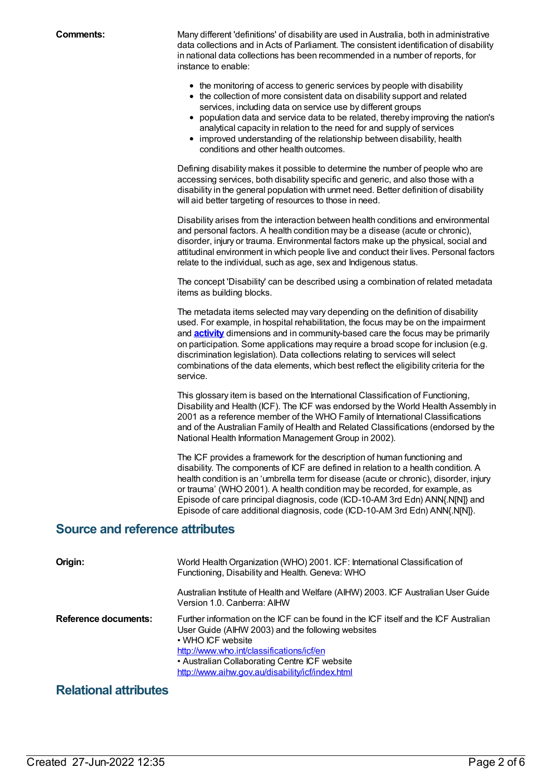**Comments:** Many different 'definitions' of disability are used in Australia, both in administrative data collections and in Acts of Parliament. The consistent identification of disability in national data collections has been recommended in a number of reports, for instance to enable:

- the monitoring of access to generic services by people with disability
- the collection of more consistent data on disability support and related services, including data on service use by different groups
- population data and service data to be related, thereby improving the nation's analytical capacity in relation to the need for and supply of services
- improved understanding of the relationship between disability, health conditions and other health outcomes.

Defining disability makes it possible to determine the number of people who are accessing services, both disability specific and generic, and also those with a disability in the general population with unmet need. Better definition of disability will aid better targeting of resources to those in need.

Disability arises from the interaction between health conditions and environmental and personal factors. A health condition may be a disease (acute or chronic), disorder, injury or trauma. Environmental factors make up the physical, social and attitudinal environment in which people live and conduct their lives. Personal factors relate to the individual, such as age, sex and Indigenous status.

The concept 'Disability' can be described using a combination of related metadata items as building blocks.

The metadata items selected may vary depending on the definition of disability used. For example, in hospital rehabilitation, the focus may be on the impairment and **[activity](https://meteor.aihw.gov.au/content/327296)** dimensions and in community-based care the focus may be primarily on participation. Some applications may require a broad scope for inclusion (e.g. discrimination legislation). Data collections relating to services will select combinations of the data elements, which best reflect the eligibility criteria for the service.

This glossary item is based on the International Classification of Functioning, Disability and Health (ICF). The ICF was endorsed by the World Health Assembly in 2001 as a reference member of the WHO Family of International Classifications and of the Australian Family of Health and Related Classifications (endorsed by the National Health Information Management Group in 2002).

The ICF provides a framework for the description of human functioning and disability. The components of ICF are defined in relation to a health condition. A health condition is an 'umbrella term for disease (acute or chronic), disorder, injury or trauma' (WHO 2001). A health condition may be recorded, for example, as Episode of care principal diagnosis, code (ICD-10-AM 3rd Edn) ANN{.N[N]} and Episode of care additional diagnosis, code (ICD-10-AM 3rd Edn) ANN{.N[N]}.

### **Source and reference attributes**

| Origin:              | World Health Organization (WHO) 2001. ICF: International Classification of<br>Functioning, Disability and Health. Geneva: WHO                                                                                                                                                                                    |
|----------------------|------------------------------------------------------------------------------------------------------------------------------------------------------------------------------------------------------------------------------------------------------------------------------------------------------------------|
|                      | Australian Institute of Health and Welfare (AIHW) 2003. ICF Australian User Guide<br>Version 1.0. Canberra: AIHW                                                                                                                                                                                                 |
| Reference documents: | Further information on the ICF can be found in the ICF itself and the ICF Australian<br>User Guide (AIHW 2003) and the following websites<br>• WHO ICF website<br>http://www.who.int/classifications/icf/en<br>• Australian Collaborating Centre ICF website<br>http://www.aihw.gov.au/disability/icf/index.html |

## **Relational attributes**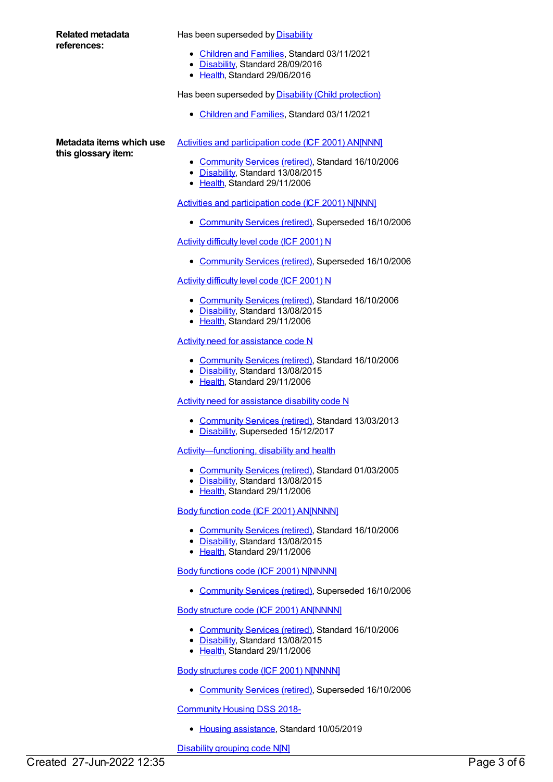| Related metadata<br>references:                 | Has been superseded by <b>Disability</b><br>• Children and Families, Standard 03/11/2021                                  |
|-------------------------------------------------|---------------------------------------------------------------------------------------------------------------------------|
|                                                 | • Disability, Standard 28/09/2016<br>• Health, Standard 29/06/2016                                                        |
|                                                 | Has been superseded by Disability (Child protection)                                                                      |
|                                                 | • Children and Families, Standard 03/11/2021                                                                              |
| Metadata items which use<br>this glossary item: | Activities and participation code (ICF 2001) AN[NNN]                                                                      |
|                                                 | • Community Services (retired), Standard 16/10/2006<br>• Disability, Standard 13/08/2015<br>• Health, Standard 29/11/2006 |
|                                                 | Activities and participation code (ICF 2001) N[NNN]                                                                       |
|                                                 | • Community Services (retired), Superseded 16/10/2006                                                                     |
|                                                 | <b>Activity difficulty level code (ICF 2001) N</b>                                                                        |
|                                                 | • Community Services (retired), Superseded 16/10/2006                                                                     |
|                                                 | Activity difficulty level code (ICF 2001) N                                                                               |
|                                                 | • Community Services (retired), Standard 16/10/2006<br>• Disability, Standard 13/08/2015<br>• Health, Standard 29/11/2006 |
|                                                 | <b>Activity need for assistance code N</b>                                                                                |
|                                                 | $O$ approximately $O$ and aggregating all $O$ to redeved $AO/AO/OO$                                                       |

- [Community](https://meteor.aihw.gov.au/RegistrationAuthority/1) Services (retired), Standard 16/10/2006
- [Disability](https://meteor.aihw.gov.au/RegistrationAuthority/16), Standard 13/08/2015
- [Health](https://meteor.aihw.gov.au/RegistrationAuthority/12), Standard 29/11/2006

#### Activity need for [assistance](https://meteor.aihw.gov.au/content/386514) disability code N

- [Community](https://meteor.aihw.gov.au/RegistrationAuthority/1) Services (retired), Standard 13/03/2013
- [Disability](https://meteor.aihw.gov.au/RegistrationAuthority/16), Superseded 15/12/2017

#### [Activity—functioning,](https://meteor.aihw.gov.au/content/327296) disability and health

- [Community](https://meteor.aihw.gov.au/RegistrationAuthority/1) Services (retired), Standard 01/03/2005
- [Disability](https://meteor.aihw.gov.au/RegistrationAuthority/16), Standard 13/08/2015
- [Health](https://meteor.aihw.gov.au/RegistrationAuthority/12), Standard 29/11/2006

#### Body function code (ICF 2001) [AN\[NNNN\]](https://meteor.aihw.gov.au/content/321690)

- [Community](https://meteor.aihw.gov.au/RegistrationAuthority/1) Services (retired), Standard 16/10/2006
- [Disability](https://meteor.aihw.gov.au/RegistrationAuthority/16), Standard 13/08/2015
- [Health](https://meteor.aihw.gov.au/RegistrationAuthority/12), Standard 29/11/2006

#### Body functions code (ICF 2001) [N\[NNNN\]](https://meteor.aihw.gov.au/content/288336)

[Community](https://meteor.aihw.gov.au/RegistrationAuthority/1) Services (retired), Superseded 16/10/2006

#### Body structure code (ICF 2001) [AN\[NNNN\]](https://meteor.aihw.gov.au/content/320644)

- [Community](https://meteor.aihw.gov.au/RegistrationAuthority/1) Services (retired), Standard 16/10/2006
- [Disability](https://meteor.aihw.gov.au/RegistrationAuthority/16), Standard 13/08/2015
- [Health](https://meteor.aihw.gov.au/RegistrationAuthority/12), Standard 29/11/2006

#### Body [structures](https://meteor.aihw.gov.au/content/288368) code (ICF 2001) N[NNNN]

[Community](https://meteor.aihw.gov.au/RegistrationAuthority/1) Services (retired), Superseded 16/10/2006

#### [Community](https://meteor.aihw.gov.au/content/710899) Housing DSS 2018-

• Housing [assistance](https://meteor.aihw.gov.au/RegistrationAuthority/11), Standard 10/05/2019

[Disability](https://meteor.aihw.gov.au/content/288384) grouping code N[N]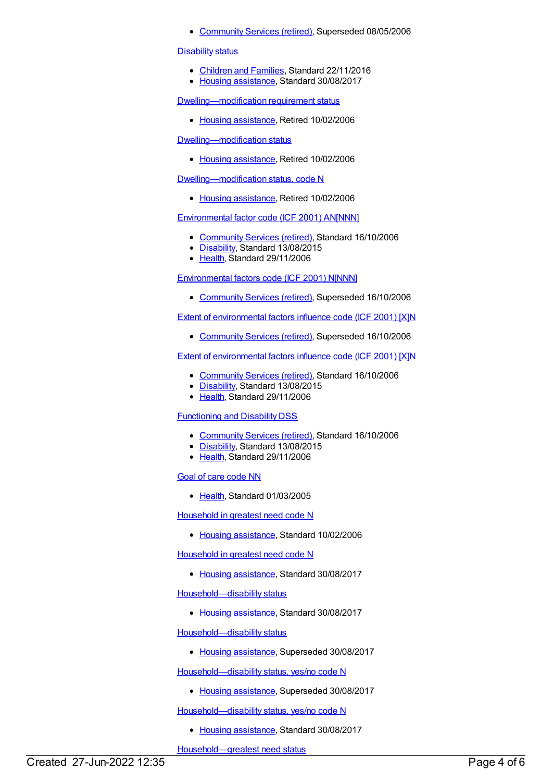• [Community](https://meteor.aihw.gov.au/RegistrationAuthority/1) Services (retired), Superseded 08/05/2006

#### **[Disability](https://meteor.aihw.gov.au/content/607990) status**

- [Children](https://meteor.aihw.gov.au/RegistrationAuthority/17) and Families, Standard 22/11/2016
- Housing [assistance](https://meteor.aihw.gov.au/RegistrationAuthority/11), Standard 30/08/2017

[Dwelling—modification](https://meteor.aihw.gov.au/content/269583) requirement status

• Housing [assistance](https://meteor.aihw.gov.au/RegistrationAuthority/11), Retired 10/02/2006

[Dwelling—modification](https://meteor.aihw.gov.au/content/269582) status

• Housing [assistance](https://meteor.aihw.gov.au/RegistrationAuthority/11), Retired 10/02/2006

[Dwelling—modification](https://meteor.aihw.gov.au/content/270119) status, code N

• Housing [assistance](https://meteor.aihw.gov.au/RegistrationAuthority/11), Retired 10/02/2006

[Environmental](https://meteor.aihw.gov.au/content/321693) factor code (ICF 2001) AN[NNN]

- [Community](https://meteor.aihw.gov.au/RegistrationAuthority/1) Services (retired), Standard 16/10/2006
- [Disability](https://meteor.aihw.gov.au/RegistrationAuthority/16), Standard 13/08/2015
- Elealth, Standard 29/11/2006

[Environmental](https://meteor.aihw.gov.au/content/288392) factors code (ICF 2001) N[NNN]

[Community](https://meteor.aihw.gov.au/RegistrationAuthority/1) Services (retired), Superseded 16/10/2006

Extent of [environmental](https://meteor.aihw.gov.au/content/288430) factors influence code (ICF 2001) [X]N

[Community](https://meteor.aihw.gov.au/RegistrationAuthority/1) Services (retired), Superseded 16/10/2006

#### Extent of [environmental](https://meteor.aihw.gov.au/content/320640) factors influence code (ICF 2001) [X]N

- [Community](https://meteor.aihw.gov.au/RegistrationAuthority/1) Services (retired), Standard 16/10/2006
- [Disability](https://meteor.aihw.gov.au/RegistrationAuthority/16), Standard 13/08/2015
- [Health](https://meteor.aihw.gov.au/RegistrationAuthority/12), Standard 29/11/2006

#### [Functioning](https://meteor.aihw.gov.au/content/320319) and Disability DSS

- [Community](https://meteor.aihw.gov.au/RegistrationAuthority/1) Services (retired), Standard 16/10/2006
- [Disability](https://meteor.aihw.gov.au/RegistrationAuthority/16), Standard 13/08/2015
- Elealth, Standard 29/11/2006

#### Goal of care [code](https://meteor.aihw.gov.au/content/270783) NN

• [Health](https://meteor.aihw.gov.au/RegistrationAuthority/12), Standard 01/03/2005

[Household](https://meteor.aihw.gov.au/content/301717) in greatest need code N

• Housing [assistance](https://meteor.aihw.gov.au/RegistrationAuthority/11), Standard 10/02/2006

[Household](https://meteor.aihw.gov.au/content/608052) in greatest need code N

• Housing [assistance](https://meteor.aihw.gov.au/RegistrationAuthority/11), Standard 30/08/2017

[Household—disability](https://meteor.aihw.gov.au/content/607874) status

• Housing [assistance](https://meteor.aihw.gov.au/RegistrationAuthority/11), Standard 30/08/2017

[Household—disability](https://meteor.aihw.gov.au/content/461253) status

• Housing [assistance](https://meteor.aihw.gov.au/RegistrationAuthority/11), Superseded 30/08/2017

[Household—disability](https://meteor.aihw.gov.au/content/302949) status, yes/no code N

• Housing [assistance](https://meteor.aihw.gov.au/RegistrationAuthority/11), Superseded 30/08/2017

[Household—disability](https://meteor.aihw.gov.au/content/607876) status, yes/no code N

• Housing [assistance](https://meteor.aihw.gov.au/RegistrationAuthority/11), Standard 30/08/2017

[Household—greatest](https://meteor.aihw.gov.au/content/269613) need status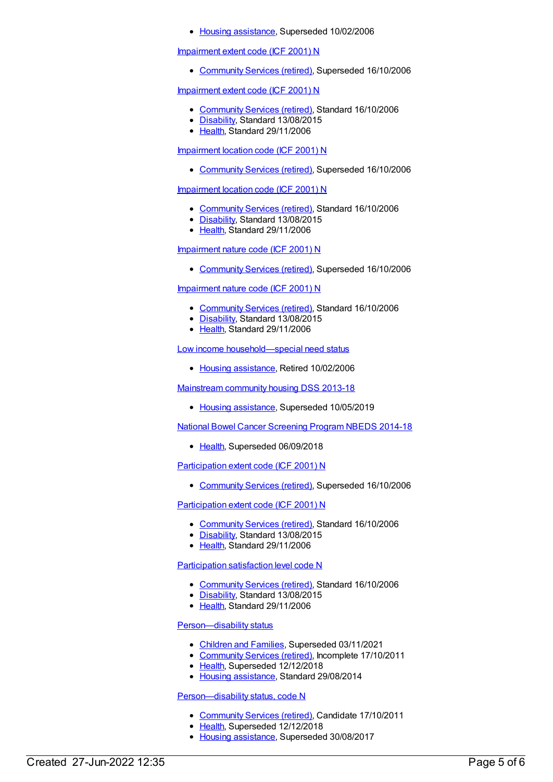• Housing [assistance](https://meteor.aihw.gov.au/RegistrationAuthority/11), Superseded 10/02/2006

#### [Impairment](https://meteor.aihw.gov.au/content/288437) extent code (ICF 2001) N

[Community](https://meteor.aihw.gov.au/RegistrationAuthority/1) Services (retired), Superseded 16/10/2006

#### [Impairment](https://meteor.aihw.gov.au/content/324803) extent code (ICF 2001) N

- [Community](https://meteor.aihw.gov.au/RegistrationAuthority/1) Services (retired), Standard 16/10/2006
- [Disability](https://meteor.aihw.gov.au/RegistrationAuthority/16), Standard 13/08/2015
- [Health](https://meteor.aihw.gov.au/RegistrationAuthority/12), Standard 29/11/2006

#### [Impairment](https://meteor.aihw.gov.au/content/288458) location code (ICF 2001) N

• [Community](https://meteor.aihw.gov.au/RegistrationAuthority/1) Services (retired), Superseded 16/10/2006

#### [Impairment](https://meteor.aihw.gov.au/content/320636) location code (ICF 2001) N

- [Community](https://meteor.aihw.gov.au/RegistrationAuthority/1) Services (retired), Standard 16/10/2006
- [Disability](https://meteor.aihw.gov.au/RegistrationAuthority/16), Standard 13/08/2015
- [Health](https://meteor.aihw.gov.au/RegistrationAuthority/12), Standard 29/11/2006

#### [Impairment](https://meteor.aihw.gov.au/content/288474) nature code (ICF 2001) N

[Community](https://meteor.aihw.gov.au/RegistrationAuthority/1) Services (retired), Superseded 16/10/2006

#### [Impairment](https://meteor.aihw.gov.au/content/320628) nature code (ICF 2001) N

- [Community](https://meteor.aihw.gov.au/RegistrationAuthority/1) Services (retired), Standard 16/10/2006
- [Disability](https://meteor.aihw.gov.au/RegistrationAuthority/16), Standard 13/08/2015
- [Health](https://meteor.aihw.gov.au/RegistrationAuthority/12), Standard 29/11/2006

Low income [household—special](https://meteor.aihw.gov.au/content/269677) need status

• Housing [assistance](https://meteor.aihw.gov.au/RegistrationAuthority/11), Retired 10/02/2006

#### [Mainstream](https://meteor.aihw.gov.au/content/594489) community housing DSS 2013-18

• Housing [assistance](https://meteor.aihw.gov.au/RegistrationAuthority/11), Superseded 10/05/2019

National Bowel Cancer [Screening](https://meteor.aihw.gov.au/content/529201) Program NBEDS 2014-18

• [Health](https://meteor.aihw.gov.au/RegistrationAuthority/12), Superseded 06/09/2018

#### [Participation](https://meteor.aihw.gov.au/content/288534) extent code (ICF 2001) N

[Community](https://meteor.aihw.gov.au/RegistrationAuthority/1) Services (retired), Superseded 16/10/2006

#### [Participation](https://meteor.aihw.gov.au/content/320555) extent code (ICF 2001) N

- [Community](https://meteor.aihw.gov.au/RegistrationAuthority/1) Services (retired), Standard 16/10/2006
- [Disability](https://meteor.aihw.gov.au/RegistrationAuthority/16), Standard 13/08/2015
- [Health](https://meteor.aihw.gov.au/RegistrationAuthority/12), Standard 29/11/2006

#### [Participation](https://meteor.aihw.gov.au/content/320559) satisfaction level code N

- [Community](https://meteor.aihw.gov.au/RegistrationAuthority/1) Services (retired), Standard 16/10/2006
- [Disability](https://meteor.aihw.gov.au/RegistrationAuthority/16), Standard 13/08/2015
- [Health](https://meteor.aihw.gov.au/RegistrationAuthority/12), Standard 29/11/2006

#### [Person—disability](https://meteor.aihw.gov.au/content/269740) status

- [Children](https://meteor.aihw.gov.au/RegistrationAuthority/17) and Families, Superseded 03/11/2021
- [Community](https://meteor.aihw.gov.au/RegistrationAuthority/1) Services (retired), Incomplete 17/10/2011
- [Health](https://meteor.aihw.gov.au/RegistrationAuthority/12), Superseded 12/12/2018
- Housing [assistance](https://meteor.aihw.gov.au/RegistrationAuthority/11), Standard 29/08/2014

#### Person-disability status, code N

- [Community](https://meteor.aihw.gov.au/RegistrationAuthority/1) Services (retired), Candidate 17/10/2011
- [Health](https://meteor.aihw.gov.au/RegistrationAuthority/12), Superseded 12/12/2018
- Housing [assistance](https://meteor.aihw.gov.au/RegistrationAuthority/11), Superseded 30/08/2017